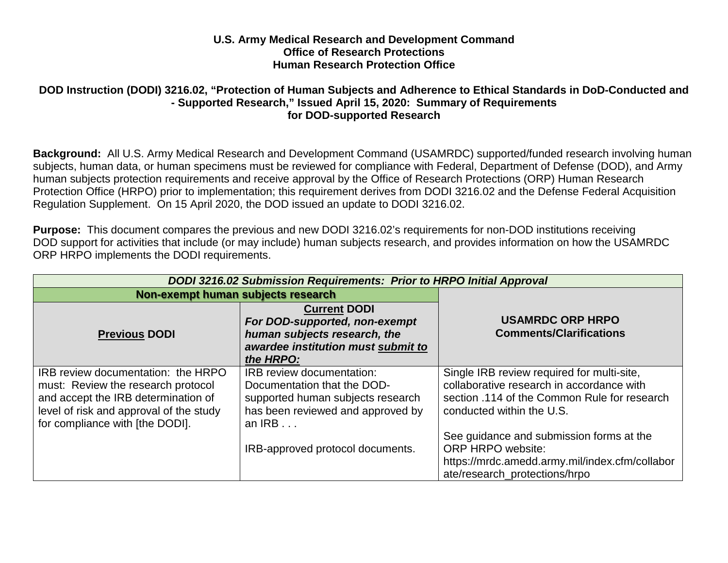## **U.S. Army Medical Research and Development Command Office of Research Protections Human Research Protection Office**

## **DOD Instruction (DODI) 3216.02, "Protection of Human Subjects and Adherence to Ethical Standards in DoD-Conducted and - Supported Research," Issued April 15, 2020: Summary of Requirements for DOD-supported Research**

**Background:** All U.S. Army Medical Research and Development Command (USAMRDC) supported/funded research involving human subjects, human data, or human specimens must be reviewed for compliance with Federal, Department of Defense (DOD), and Army human subjects protection requirements and receive approval by the Office of Research Protections (ORP) Human Research Protection Office (HRPO) prior to implementation; this requirement derives from DODI 3216.02 and the Defense Federal Acquisition Regulation Supplement. On 15 April 2020, the DOD issued an update to DODI 3216.02.

**Purpose:** This document compares the previous and new DODI 3216.02's requirements for non-DOD institutions receiving DOD support for activities that include (or may include) human subjects research, and provides information on how the USAMRDC ORP HRPO implements the DODI requirements.

| DODI 3216.02 Submission Requirements: Prior to HRPO Initial Approval                                                                                                                          |                                                                                                                                                       |                                                                                                                                                                      |
|-----------------------------------------------------------------------------------------------------------------------------------------------------------------------------------------------|-------------------------------------------------------------------------------------------------------------------------------------------------------|----------------------------------------------------------------------------------------------------------------------------------------------------------------------|
| Non-exempt human subjects research                                                                                                                                                            |                                                                                                                                                       |                                                                                                                                                                      |
| <b>Previous DODI</b>                                                                                                                                                                          | <b>Current DODI</b><br>For DOD-supported, non-exempt<br>human subjects research, the<br>awardee institution must submit to<br>the HRPO:               | <b>USAMRDC ORP HRPO</b><br><b>Comments/Clarifications</b>                                                                                                            |
| IRB review documentation: the HRPO<br>must: Review the research protocol<br>and accept the IRB determination of<br>level of risk and approval of the study<br>for compliance with [the DODI]. | <b>IRB</b> review documentation:<br>Documentation that the DOD-<br>supported human subjects research<br>has been reviewed and approved by<br>an $IRB$ | Single IRB review required for multi-site,<br>collaborative research in accordance with<br>section .114 of the Common Rule for research<br>conducted within the U.S. |
|                                                                                                                                                                                               | IRB-approved protocol documents.                                                                                                                      | See guidance and submission forms at the<br><b>ORP HRPO website:</b><br>https://mrdc.amedd.army.mil/index.cfm/collabor<br>ate/research protections/hrpo              |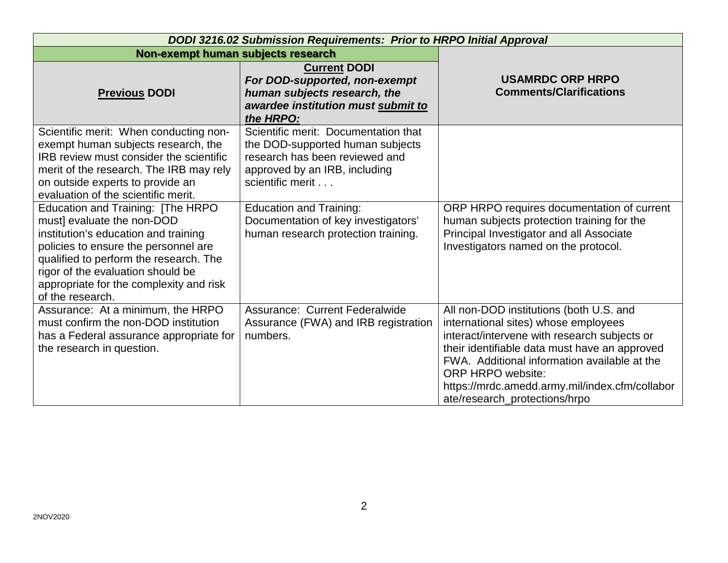| DODI 3216.02 Submission Requirements: Prior to HRPO Initial Approval                                                                                                                                                                                                                          |                                                                                                                                                                 |                                                                                                                                                                                                                                                                                                                                                 |
|-----------------------------------------------------------------------------------------------------------------------------------------------------------------------------------------------------------------------------------------------------------------------------------------------|-----------------------------------------------------------------------------------------------------------------------------------------------------------------|-------------------------------------------------------------------------------------------------------------------------------------------------------------------------------------------------------------------------------------------------------------------------------------------------------------------------------------------------|
| Non-exempt human subjects research                                                                                                                                                                                                                                                            |                                                                                                                                                                 |                                                                                                                                                                                                                                                                                                                                                 |
| <b>Previous DODI</b>                                                                                                                                                                                                                                                                          | <b>Current DODI</b><br>For DOD-supported, non-exempt<br>human subjects research, the<br>awardee institution must submit to<br>the HRPO:                         | <b>USAMRDC ORP HRPO</b><br><b>Comments/Clarifications</b>                                                                                                                                                                                                                                                                                       |
| Scientific merit: When conducting non-<br>exempt human subjects research, the<br>IRB review must consider the scientific<br>merit of the research. The IRB may rely<br>on outside experts to provide an<br>evaluation of the scientific merit.                                                | Scientific merit: Documentation that<br>the DOD-supported human subjects<br>research has been reviewed and<br>approved by an IRB, including<br>scientific merit |                                                                                                                                                                                                                                                                                                                                                 |
| Education and Training: [The HRPO<br>must] evaluate the non-DOD<br>institution's education and training<br>policies to ensure the personnel are<br>qualified to perform the research. The<br>rigor of the evaluation should be<br>appropriate for the complexity and risk<br>of the research. | <b>Education and Training:</b><br>Documentation of key investigators'<br>human research protection training.                                                    | ORP HRPO requires documentation of current<br>human subjects protection training for the<br>Principal Investigator and all Associate<br>Investigators named on the protocol.                                                                                                                                                                    |
| Assurance: At a minimum, the HRPO<br>must confirm the non-DOD institution<br>has a Federal assurance appropriate for<br>the research in question.                                                                                                                                             | Assurance: Current Federalwide<br>Assurance (FWA) and IRB registration<br>numbers.                                                                              | All non-DOD institutions (both U.S. and<br>international sites) whose employees<br>interact/intervene with research subjects or<br>their identifiable data must have an approved<br>FWA. Additional information available at the<br><b>ORP HRPO website:</b><br>https://mrdc.amedd.army.mil/index.cfm/collabor<br>ate/research_protections/hrpo |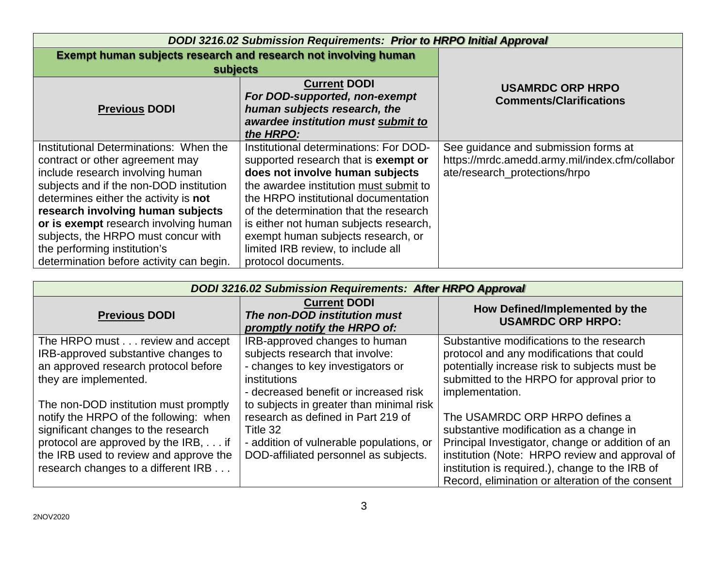| <b>DODI 3216.02 Submission Requirements: Prior to HRPO Initial Approval</b> |                                                 |                                                |
|-----------------------------------------------------------------------------|-------------------------------------------------|------------------------------------------------|
| Exempt human subjects research and research not involving human             |                                                 |                                                |
| subjects                                                                    |                                                 |                                                |
|                                                                             | <b>Current DODI</b>                             | <b>USAMRDC ORP HRPO</b>                        |
|                                                                             | For DOD-supported, non-exempt                   | <b>Comments/Clarifications</b>                 |
| <b>Previous DODI</b>                                                        | human subjects research, the                    |                                                |
|                                                                             | awardee institution must submit to<br>the HRPO: |                                                |
| Institutional Determinations: When the                                      | Institutional determinations: For DOD-          | See guidance and submission forms at           |
| contract or other agreement may                                             | supported research that is <b>exempt or</b>     | https://mrdc.amedd.army.mil/index.cfm/collabor |
| include research involving human                                            | does not involve human subjects                 | ate/research_protections/hrpo                  |
| subjects and if the non-DOD institution                                     | the awardee institution must submit to          |                                                |
| determines either the activity is not                                       | the HRPO institutional documentation            |                                                |
| research involving human subjects                                           | of the determination that the research          |                                                |
| or is exempt research involving human                                       | is either not human subjects research,          |                                                |
| subjects, the HRPO must concur with                                         | exempt human subjects research, or              |                                                |
| the performing institution's                                                | limited IRB review, to include all              |                                                |
| determination before activity can begin.                                    | protocol documents.                             |                                                |

| <b>DODI 3216.02 Submission Requirements: After HRPO Approval</b>                                                                                                                                                                                |                                                                                                                                                                                 |                                                                                                                                                                                                                                                                                        |
|-------------------------------------------------------------------------------------------------------------------------------------------------------------------------------------------------------------------------------------------------|---------------------------------------------------------------------------------------------------------------------------------------------------------------------------------|----------------------------------------------------------------------------------------------------------------------------------------------------------------------------------------------------------------------------------------------------------------------------------------|
| <b>Previous DODI</b>                                                                                                                                                                                                                            | <b>Current DODI</b><br>The non-DOD institution must<br>promptly notify the HRPO of:                                                                                             | How Defined/Implemented by the<br><b>USAMRDC ORP HRPO:</b>                                                                                                                                                                                                                             |
| The HRPO must review and accept<br>IRB-approved substantive changes to<br>an approved research protocol before<br>they are implemented.                                                                                                         | IRB-approved changes to human<br>subjects research that involve:<br>- changes to key investigators or<br>institutions<br>- decreased benefit or increased risk                  | Substantive modifications to the research<br>protocol and any modifications that could<br>potentially increase risk to subjects must be<br>submitted to the HRPO for approval prior to<br>implementation.                                                                              |
| The non-DOD institution must promptly<br>notify the HRPO of the following: when<br>significant changes to the research<br>protocol are approved by the IRB, if<br>the IRB used to review and approve the<br>research changes to a different IRB | to subjects in greater than minimal risk<br>research as defined in Part 219 of<br>Title 32<br>- addition of vulnerable populations, or<br>DOD-affiliated personnel as subjects. | The USAMRDC ORP HRPO defines a<br>substantive modification as a change in<br>Principal Investigator, change or addition of an<br>institution (Note: HRPO review and approval of<br>institution is required.), change to the IRB of<br>Record, elimination or alteration of the consent |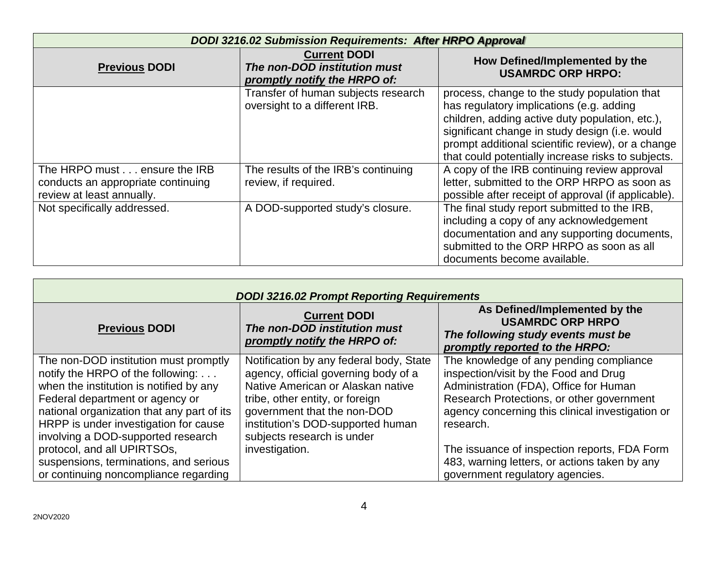| <b>DODI 3216.02 Submission Requirements: After HRPO Approval</b>                                |                                                                                     |                                                                                                                                                                                                                                                                                                          |
|-------------------------------------------------------------------------------------------------|-------------------------------------------------------------------------------------|----------------------------------------------------------------------------------------------------------------------------------------------------------------------------------------------------------------------------------------------------------------------------------------------------------|
| <b>Previous DODI</b>                                                                            | <b>Current DODI</b><br>The non-DOD institution must<br>promptly notify the HRPO of: | How Defined/Implemented by the<br><b>USAMRDC ORP HRPO:</b>                                                                                                                                                                                                                                               |
|                                                                                                 | Transfer of human subjects research<br>oversight to a different IRB.                | process, change to the study population that<br>has regulatory implications (e.g. adding<br>children, adding active duty population, etc.),<br>significant change in study design (i.e. would<br>prompt additional scientific review), or a change<br>that could potentially increase risks to subjects. |
| The HRPO must ensure the IRB<br>conducts an appropriate continuing<br>review at least annually. | The results of the IRB's continuing<br>review, if required.                         | A copy of the IRB continuing review approval<br>letter, submitted to the ORP HRPO as soon as<br>possible after receipt of approval (if applicable).                                                                                                                                                      |
| Not specifically addressed.                                                                     | A DOD-supported study's closure.                                                    | The final study report submitted to the IRB,<br>including a copy of any acknowledgement<br>documentation and any supporting documents,<br>submitted to the ORP HRPO as soon as all<br>documents become available.                                                                                        |

| <b>DODI 3216.02 Prompt Reporting Requirements</b>                                                                                                                                                                                                                                                                                                                                                       |                                                                                                                                                                                                                                                                             |                                                                                                                                                                                                                                                                                                                                                                              |
|---------------------------------------------------------------------------------------------------------------------------------------------------------------------------------------------------------------------------------------------------------------------------------------------------------------------------------------------------------------------------------------------------------|-----------------------------------------------------------------------------------------------------------------------------------------------------------------------------------------------------------------------------------------------------------------------------|------------------------------------------------------------------------------------------------------------------------------------------------------------------------------------------------------------------------------------------------------------------------------------------------------------------------------------------------------------------------------|
| <b>Previous DODI</b>                                                                                                                                                                                                                                                                                                                                                                                    | <b>Current DODI</b><br>The non-DOD institution must<br>promptly notify the HRPO of:                                                                                                                                                                                         | As Defined/Implemented by the<br><b>USAMRDC ORP HRPO</b><br>The following study events must be<br>promptly reported to the HRPO:                                                                                                                                                                                                                                             |
| The non-DOD institution must promptly<br>notify the HRPO of the following:<br>when the institution is notified by any<br>Federal department or agency or<br>national organization that any part of its<br>HRPP is under investigation for cause<br>involving a DOD-supported research<br>protocol, and all UPIRTSOs,<br>suspensions, terminations, and serious<br>or continuing noncompliance regarding | Notification by any federal body, State<br>agency, official governing body of a<br>Native American or Alaskan native<br>tribe, other entity, or foreign<br>government that the non-DOD<br>institution's DOD-supported human<br>subjects research is under<br>investigation. | The knowledge of any pending compliance<br>inspection/visit by the Food and Drug<br>Administration (FDA), Office for Human<br>Research Protections, or other government<br>agency concerning this clinical investigation or<br>research.<br>The issuance of inspection reports, FDA Form<br>483, warning letters, or actions taken by any<br>government regulatory agencies. |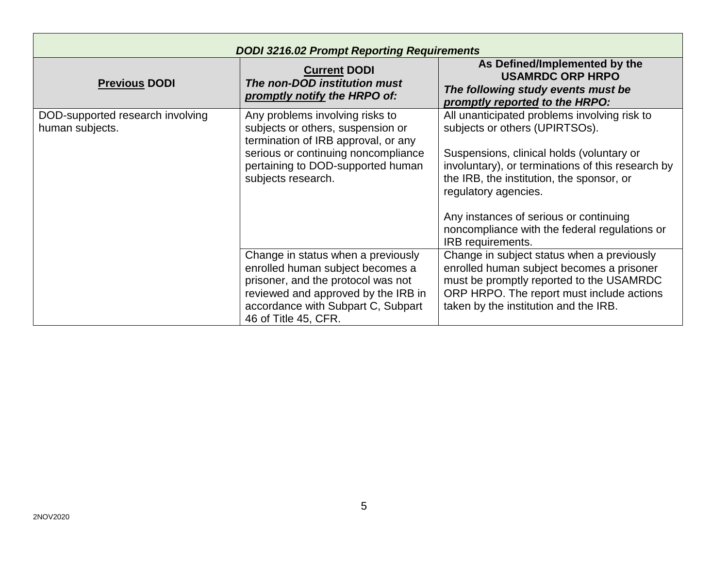| <b>DODI 3216.02 Prompt Reporting Requirements</b>   |                                                                                                                                                     |                                                                                                                                                                                  |
|-----------------------------------------------------|-----------------------------------------------------------------------------------------------------------------------------------------------------|----------------------------------------------------------------------------------------------------------------------------------------------------------------------------------|
| <b>Previous DODI</b>                                | <b>Current DODI</b><br>The non-DOD institution must<br>promptly notify the HRPO of:                                                                 | As Defined/Implemented by the<br><b>USAMRDC ORP HRPO</b><br>The following study events must be<br>promptly reported to the HRPO:                                                 |
| DOD-supported research involving<br>human subjects. | Any problems involving risks to<br>subjects or others, suspension or<br>termination of IRB approval, or any<br>serious or continuing noncompliance  | All unanticipated problems involving risk to<br>subjects or others (UPIRTSOs).<br>Suspensions, clinical holds (voluntary or                                                      |
|                                                     | pertaining to DOD-supported human<br>subjects research.                                                                                             | involuntary), or terminations of this research by<br>the IRB, the institution, the sponsor, or<br>regulatory agencies.                                                           |
|                                                     |                                                                                                                                                     | Any instances of serious or continuing<br>noncompliance with the federal regulations or<br>IRB requirements.                                                                     |
|                                                     | Change in status when a previously<br>enrolled human subject becomes a<br>prisoner, and the protocol was not<br>reviewed and approved by the IRB in | Change in subject status when a previously<br>enrolled human subject becomes a prisoner<br>must be promptly reported to the USAMRDC<br>ORP HRPO. The report must include actions |
|                                                     | accordance with Subpart C, Subpart<br>46 of Title 45, CFR.                                                                                          | taken by the institution and the IRB.                                                                                                                                            |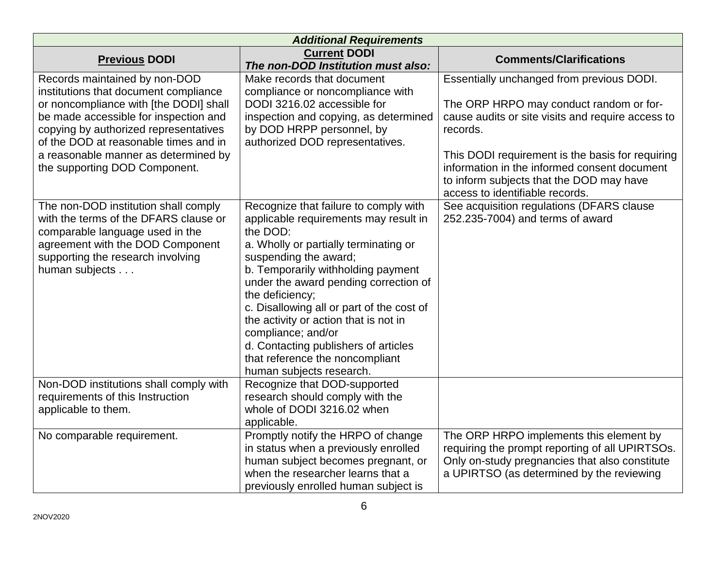| <b>Additional Requirements</b>                                                                                                                                                                                                                                                                                       |                                                                                                                                                                                                                                                                                                                                                                                                                                                                                   |                                                                                                                                                                                                                                                                                                                                          |  |
|----------------------------------------------------------------------------------------------------------------------------------------------------------------------------------------------------------------------------------------------------------------------------------------------------------------------|-----------------------------------------------------------------------------------------------------------------------------------------------------------------------------------------------------------------------------------------------------------------------------------------------------------------------------------------------------------------------------------------------------------------------------------------------------------------------------------|------------------------------------------------------------------------------------------------------------------------------------------------------------------------------------------------------------------------------------------------------------------------------------------------------------------------------------------|--|
| <b>Previous DODI</b>                                                                                                                                                                                                                                                                                                 | <b>Current DODI</b><br>The non-DOD Institution must also:                                                                                                                                                                                                                                                                                                                                                                                                                         | <b>Comments/Clarifications</b>                                                                                                                                                                                                                                                                                                           |  |
| Records maintained by non-DOD<br>institutions that document compliance<br>or noncompliance with [the DODI] shall<br>be made accessible for inspection and<br>copying by authorized representatives<br>of the DOD at reasonable times and in<br>a reasonable manner as determined by<br>the supporting DOD Component. | Make records that document<br>compliance or noncompliance with<br>DODI 3216.02 accessible for<br>inspection and copying, as determined<br>by DOD HRPP personnel, by<br>authorized DOD representatives.                                                                                                                                                                                                                                                                            | Essentially unchanged from previous DODI.<br>The ORP HRPO may conduct random or for-<br>cause audits or site visits and require access to<br>records.<br>This DODI requirement is the basis for requiring<br>information in the informed consent document<br>to inform subjects that the DOD may have<br>access to identifiable records. |  |
| The non-DOD institution shall comply<br>with the terms of the DFARS clause or<br>comparable language used in the<br>agreement with the DOD Component<br>supporting the research involving<br>human subjects                                                                                                          | Recognize that failure to comply with<br>applicable requirements may result in<br>the DOD:<br>a. Wholly or partially terminating or<br>suspending the award;<br>b. Temporarily withholding payment<br>under the award pending correction of<br>the deficiency;<br>c. Disallowing all or part of the cost of<br>the activity or action that is not in<br>compliance; and/or<br>d. Contacting publishers of articles<br>that reference the noncompliant<br>human subjects research. | See acquisition regulations (DFARS clause<br>252.235-7004) and terms of award                                                                                                                                                                                                                                                            |  |
| Non-DOD institutions shall comply with<br>requirements of this Instruction<br>applicable to them.                                                                                                                                                                                                                    | Recognize that DOD-supported<br>research should comply with the<br>whole of DODI 3216.02 when<br>applicable.                                                                                                                                                                                                                                                                                                                                                                      |                                                                                                                                                                                                                                                                                                                                          |  |
| No comparable requirement.                                                                                                                                                                                                                                                                                           | Promptly notify the HRPO of change<br>in status when a previously enrolled<br>human subject becomes pregnant, or<br>when the researcher learns that a<br>previously enrolled human subject is                                                                                                                                                                                                                                                                                     | The ORP HRPO implements this element by<br>requiring the prompt reporting of all UPIRTSOs.<br>Only on-study pregnancies that also constitute<br>a UPIRTSO (as determined by the reviewing                                                                                                                                                |  |